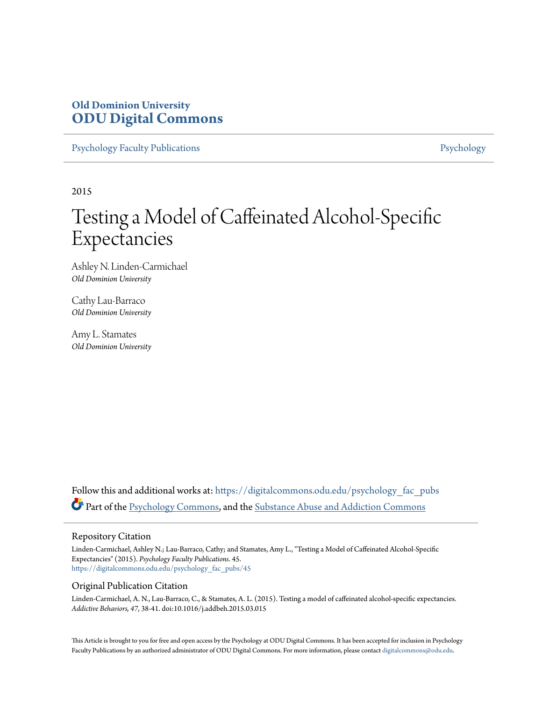# **Old Dominion University [ODU Digital Commons](https://digitalcommons.odu.edu?utm_source=digitalcommons.odu.edu%2Fpsychology_fac_pubs%2F45&utm_medium=PDF&utm_campaign=PDFCoverPages)**

[Psychology Faculty Publications](https://digitalcommons.odu.edu/psychology_fac_pubs?utm_source=digitalcommons.odu.edu%2Fpsychology_fac_pubs%2F45&utm_medium=PDF&utm_campaign=PDFCoverPages) **[Psychology](https://digitalcommons.odu.edu/psychology?utm_source=digitalcommons.odu.edu%2Fpsychology_fac_pubs%2F45&utm_medium=PDF&utm_campaign=PDFCoverPages)** 

2015

# Testing a Model of Caffeinated Alcohol-Specific Expectancies

Ashley N. Linden-Carmichael *Old Dominion University*

Cathy Lau-Barraco *Old Dominion University*

Amy L. Stamates *Old Dominion University*

Follow this and additional works at: [https://digitalcommons.odu.edu/psychology\\_fac\\_pubs](https://digitalcommons.odu.edu/psychology_fac_pubs?utm_source=digitalcommons.odu.edu%2Fpsychology_fac_pubs%2F45&utm_medium=PDF&utm_campaign=PDFCoverPages) Part of the [Psychology Commons](http://network.bepress.com/hgg/discipline/404?utm_source=digitalcommons.odu.edu%2Fpsychology_fac_pubs%2F45&utm_medium=PDF&utm_campaign=PDFCoverPages), and the [Substance Abuse and Addiction Commons](http://network.bepress.com/hgg/discipline/710?utm_source=digitalcommons.odu.edu%2Fpsychology_fac_pubs%2F45&utm_medium=PDF&utm_campaign=PDFCoverPages)

#### Repository Citation

Linden-Carmichael, Ashley N.; Lau-Barraco, Cathy; and Stamates, Amy L., "Testing a Model of Caffeinated Alcohol-Specific Expectancies" (2015). *Psychology Faculty Publications*. 45. [https://digitalcommons.odu.edu/psychology\\_fac\\_pubs/45](https://digitalcommons.odu.edu/psychology_fac_pubs/45?utm_source=digitalcommons.odu.edu%2Fpsychology_fac_pubs%2F45&utm_medium=PDF&utm_campaign=PDFCoverPages)

#### Original Publication Citation

Linden-Carmichael, A. N., Lau-Barraco, C., & Stamates, A. L. (2015). Testing a model of caffeinated alcohol-specific expectancies. *Addictive Behaviors, 47*, 38-41. doi:10.1016/j.addbeh.2015.03.015

This Article is brought to you for free and open access by the Psychology at ODU Digital Commons. It has been accepted for inclusion in Psychology Faculty Publications by an authorized administrator of ODU Digital Commons. For more information, please contact [digitalcommons@odu.edu.](mailto:digitalcommons@odu.edu)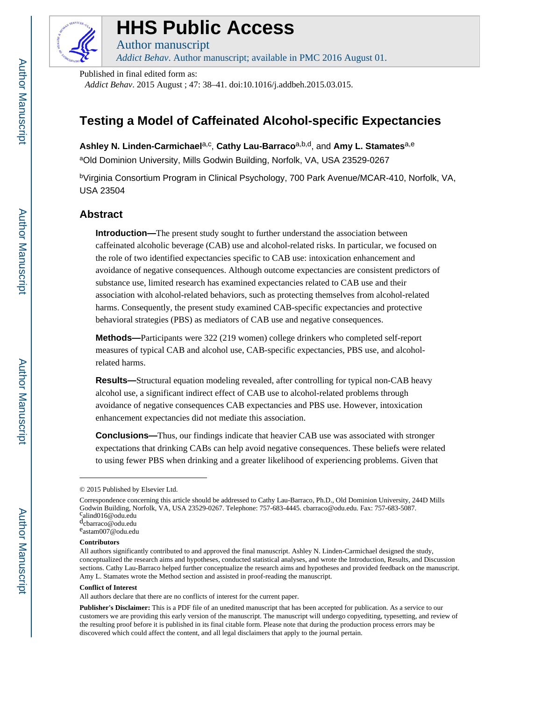

# **HHS Public Access HHS Public Access**<br>Author manuscript<br>Addict Behav. Author manuscript; available in PMC 2016 August 01.<br>Published in final edited form as:

Author manuscript

*Addict Behav*. Author manuscript; available in PMC 2016 August 01.

Published in final edited form as:

*Addict Behav*. 2015 August ; 47: 38–41. doi:10.1016/j.addbeh.2015.03.015.

# **Testing a Model of Caffeinated Alcohol-specific Expectancies**

Ashley N. Linden-Carmichael<sup>a,c</sup>, Cathy Lau-Barraco<sup>a,b,d</sup>, and Amy L. Stamates<sup>a,e</sup>

aOld Dominion University, Mills Godwin Building, Norfolk, VA, USA 23529-0267

<sup>b</sup>Virginia Consortium Program in Clinical Psychology, 700 Park Avenue/MCAR-410, Norfolk, VA, USA 23504

# **Abstract**

**Introduction—**The present study sought to further understand the association between caffeinated alcoholic beverage (CAB) use and alcohol-related risks. In particular, we focused on the role of two identified expectancies specific to CAB use: intoxication enhancement and avoidance of negative consequences. Although outcome expectancies are consistent predictors of substance use, limited research has examined expectancies related to CAB use and their association with alcohol-related behaviors, such as protecting themselves from alcohol-related harms. Consequently, the present study examined CAB-specific expectancies and protective behavioral strategies (PBS) as mediators of CAB use and negative consequences.

**Methods—**Participants were 322 (219 women) college drinkers who completed self-report measures of typical CAB and alcohol use, CAB-specific expectancies, PBS use, and alcoholrelated harms.

**Results—**Structural equation modeling revealed, after controlling for typical non-CAB heavy alcohol use, a significant indirect effect of CAB use to alcohol-related problems through avoidance of negative consequences CAB expectancies and PBS use. However, intoxication enhancement expectancies did not mediate this association.

**Conclusions—**Thus, our findings indicate that heavier CAB use was associated with stronger expectations that drinking CABs can help avoid negative consequences. These beliefs were related to using fewer PBS when drinking and a greater likelihood of experiencing problems. Given that

#### **Contributors**

#### **Conflict of Interest**

<sup>© 2015</sup> Published by Elsevier Ltd.

Correspondence concerning this article should be addressed to Cathy Lau-Barraco, Ph.D., Old Dominion University, 244D Mills Godwin Building, Norfolk, VA, USA 23529-0267. Telephone: 757-683-4445. cbarraco@odu.edu. Fax: 757-683-5087.  $c_{\text{alind}016@{\text{odu.edu}}}$ dcbarraco@odu.edu

e astam007@odu.edu

All authors significantly contributed to and approved the final manuscript. Ashley N. Linden-Carmichael designed the study, conceptualized the research aims and hypotheses, conducted statistical analyses, and wrote the Introduction, Results, and Discussion sections. Cathy Lau-Barraco helped further conceptualize the research aims and hypotheses and provided feedback on the manuscript. Amy L. Stamates wrote the Method section and assisted in proof-reading the manuscript.

All authors declare that there are no conflicts of interest for the current paper.

**Publisher's Disclaimer:** This is a PDF file of an unedited manuscript that has been accepted for publication. As a service to our customers we are providing this early version of the manuscript. The manuscript will undergo copyediting, typesetting, and review of the resulting proof before it is published in its final citable form. Please note that during the production process errors may be discovered which could affect the content, and all legal disclaimers that apply to the journal pertain.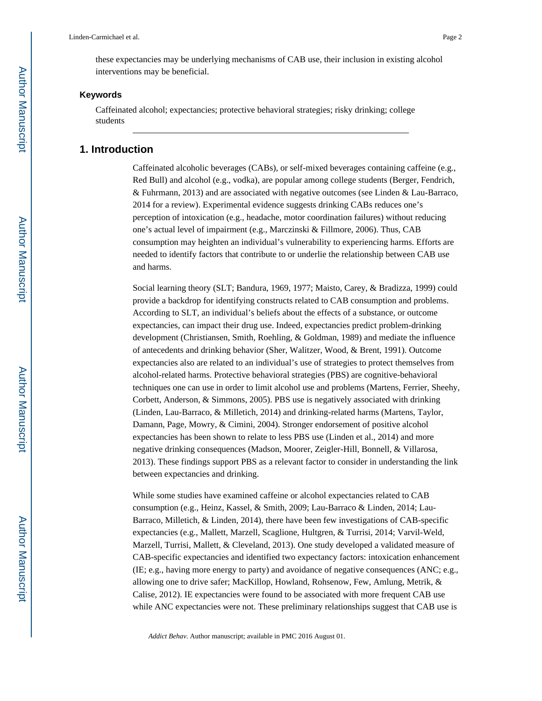these expectancies may be underlying mechanisms of CAB use, their inclusion in existing alcohol interventions may be beneficial.

#### **Keywords**

Caffeinated alcohol; expectancies; protective behavioral strategies; risky drinking; college students

#### **1. Introduction**

Caffeinated alcoholic beverages (CABs), or self-mixed beverages containing caffeine (e.g., Red Bull) and alcohol (e.g., vodka), are popular among college students (Berger, Fendrich, & Fuhrmann, 2013) and are associated with negative outcomes (see Linden & Lau-Barraco, 2014 for a review). Experimental evidence suggests drinking CABs reduces one's perception of intoxication (e.g., headache, motor coordination failures) without reducing one's actual level of impairment (e.g., Marczinski & Fillmore, 2006). Thus, CAB consumption may heighten an individual's vulnerability to experiencing harms. Efforts are needed to identify factors that contribute to or underlie the relationship between CAB use and harms.

Social learning theory (SLT; Bandura, 1969, 1977; Maisto, Carey, & Bradizza, 1999) could provide a backdrop for identifying constructs related to CAB consumption and problems. According to SLT, an individual's beliefs about the effects of a substance, or outcome expectancies, can impact their drug use. Indeed, expectancies predict problem-drinking development (Christiansen, Smith, Roehling, & Goldman, 1989) and mediate the influence of antecedents and drinking behavior (Sher, Walitzer, Wood, & Brent, 1991). Outcome expectancies also are related to an individual's use of strategies to protect themselves from alcohol-related harms. Protective behavioral strategies (PBS) are cognitive-behavioral techniques one can use in order to limit alcohol use and problems (Martens, Ferrier, Sheehy, Corbett, Anderson, & Simmons, 2005). PBS use is negatively associated with drinking (Linden, Lau-Barraco, & Milletich, 2014) and drinking-related harms (Martens, Taylor, Damann, Page, Mowry, & Cimini, 2004). Stronger endorsement of positive alcohol expectancies has been shown to relate to less PBS use (Linden et al., 2014) and more negative drinking consequences (Madson, Moorer, Zeigler-Hill, Bonnell, & Villarosa, 2013). These findings support PBS as a relevant factor to consider in understanding the link between expectancies and drinking.

While some studies have examined caffeine or alcohol expectancies related to CAB consumption (e.g., Heinz, Kassel, & Smith, 2009; Lau-Barraco & Linden, 2014; Lau-Barraco, Milletich, & Linden, 2014), there have been few investigations of CAB-specific expectancies (e.g., Mallett, Marzell, Scaglione, Hultgren, & Turrisi, 2014; Varvil-Weld, Marzell, Turrisi, Mallett, & Cleveland, 2013). One study developed a validated measure of CAB-specific expectancies and identified two expectancy factors: intoxication enhancement (IE; e.g., having more energy to party) and avoidance of negative consequences (ANC; e.g., allowing one to drive safer; MacKillop, Howland, Rohsenow, Few, Amlung, Metrik, & Calise, 2012). IE expectancies were found to be associated with more frequent CAB use while ANC expectancies were not. These preliminary relationships suggest that CAB use is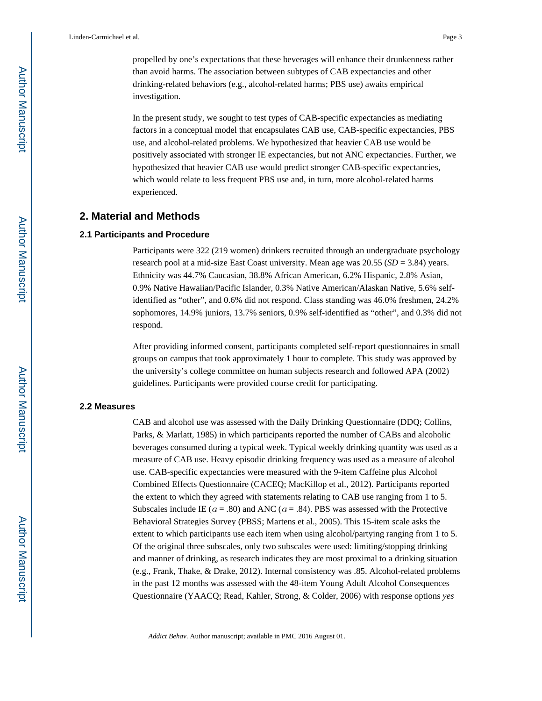propelled by one's expectations that these beverages will enhance their drunkenness rather than avoid harms. The association between subtypes of CAB expectancies and other drinking-related behaviors (e.g., alcohol-related harms; PBS use) awaits empirical investigation.

In the present study, we sought to test types of CAB-specific expectancies as mediating factors in a conceptual model that encapsulates CAB use, CAB-specific expectancies, PBS use, and alcohol-related problems. We hypothesized that heavier CAB use would be positively associated with stronger IE expectancies, but not ANC expectancies. Further, we hypothesized that heavier CAB use would predict stronger CAB-specific expectancies, which would relate to less frequent PBS use and, in turn, more alcohol-related harms experienced.

#### **2. Material and Methods**

#### **2.1 Participants and Procedure**

Participants were 322 (219 women) drinkers recruited through an undergraduate psychology research pool at a mid-size East Coast university. Mean age was 20.55 (*SD* = 3.84) years. Ethnicity was 44.7% Caucasian, 38.8% African American, 6.2% Hispanic, 2.8% Asian, 0.9% Native Hawaiian/Pacific Islander, 0.3% Native American/Alaskan Native, 5.6% selfidentified as "other", and 0.6% did not respond. Class standing was 46.0% freshmen, 24.2% sophomores, 14.9% juniors, 13.7% seniors, 0.9% self-identified as "other", and 0.3% did not respond.

After providing informed consent, participants completed self-report questionnaires in small groups on campus that took approximately 1 hour to complete. This study was approved by the university's college committee on human subjects research and followed APA (2002) guidelines. Participants were provided course credit for participating.

#### **2.2 Measures**

CAB and alcohol use was assessed with the Daily Drinking Questionnaire (DDQ; Collins, Parks, & Marlatt, 1985) in which participants reported the number of CABs and alcoholic beverages consumed during a typical week. Typical weekly drinking quantity was used as a measure of CAB use. Heavy episodic drinking frequency was used as a measure of alcohol use. CAB-specific expectancies were measured with the 9-item Caffeine plus Alcohol Combined Effects Questionnaire (CACEQ; MacKillop et al., 2012). Participants reported the extent to which they agreed with statements relating to CAB use ranging from 1 to 5. Subscales include IE ( $a = .80$ ) and ANC ( $a = .84$ ). PBS was assessed with the Protective Behavioral Strategies Survey (PBSS; Martens et al., 2005). This 15-item scale asks the extent to which participants use each item when using alcohol/partying ranging from 1 to 5. Of the original three subscales, only two subscales were used: limiting/stopping drinking and manner of drinking, as research indicates they are most proximal to a drinking situation (e.g., Frank, Thake, & Drake, 2012). Internal consistency was .85. Alcohol-related problems in the past 12 months was assessed with the 48-item Young Adult Alcohol Consequences Questionnaire (YAACQ; Read, Kahler, Strong, & Colder, 2006) with response options *yes*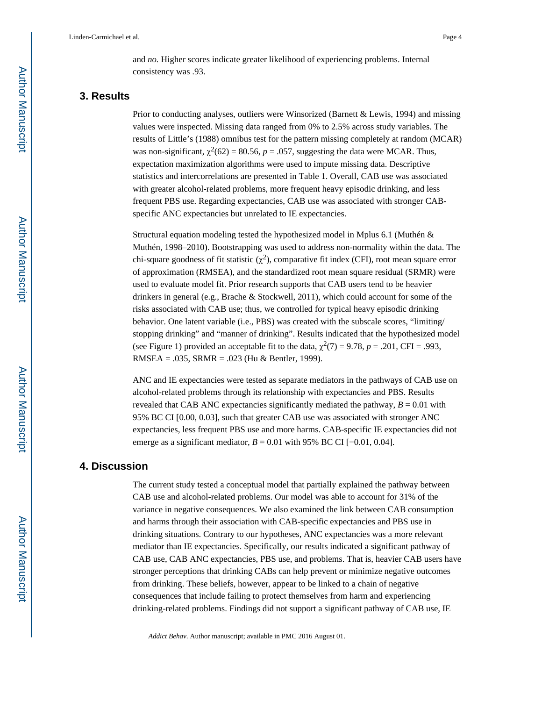and *no.* Higher scores indicate greater likelihood of experiencing problems. Internal consistency was .93.

### **3. Results**

Prior to conducting analyses, outliers were Winsorized (Barnett & Lewis, 1994) and missing values were inspected. Missing data ranged from 0% to 2.5% across study variables. The results of Little's (1988) omnibus test for the pattern missing completely at random (MCAR) was non-significant,  $\chi^2(62) = 80.56$ ,  $p = .057$ , suggesting the data were MCAR. Thus, expectation maximization algorithms were used to impute missing data. Descriptive statistics and intercorrelations are presented in Table 1. Overall, CAB use was associated with greater alcohol-related problems, more frequent heavy episodic drinking, and less frequent PBS use. Regarding expectancies, CAB use was associated with stronger CABspecific ANC expectancies but unrelated to IE expectancies.

Structural equation modeling tested the hypothesized model in Mplus 6.1 (Muthén & Muthén, 1998–2010). Bootstrapping was used to address non-normality within the data. The chi-square goodness of fit statistic  $(\chi^2)$ , comparative fit index (CFI), root mean square error of approximation (RMSEA), and the standardized root mean square residual (SRMR) were used to evaluate model fit. Prior research supports that CAB users tend to be heavier drinkers in general (e.g., Brache & Stockwell, 2011), which could account for some of the risks associated with CAB use; thus, we controlled for typical heavy episodic drinking behavior. One latent variable (i.e., PBS) was created with the subscale scores, "limiting/ stopping drinking" and "manner of drinking". Results indicated that the hypothesized model (see Figure 1) provided an acceptable fit to the data,  $\chi^2(7) = 9.78$ ,  $p = .201$ , CFI = .993, RMSEA = .035, SRMR = .023 (Hu & Bentler, 1999).

ANC and IE expectancies were tested as separate mediators in the pathways of CAB use on alcohol-related problems through its relationship with expectancies and PBS. Results revealed that CAB ANC expectancies significantly mediated the pathway,  $B = 0.01$  with 95% BC CI [0.00, 0.03], such that greater CAB use was associated with stronger ANC expectancies, less frequent PBS use and more harms. CAB-specific IE expectancies did not emerge as a significant mediator,  $B = 0.01$  with 95% BC CI [ $-0.01$ , 0.04].

#### **4. Discussion**

The current study tested a conceptual model that partially explained the pathway between CAB use and alcohol-related problems. Our model was able to account for 31% of the variance in negative consequences. We also examined the link between CAB consumption and harms through their association with CAB-specific expectancies and PBS use in drinking situations. Contrary to our hypotheses, ANC expectancies was a more relevant mediator than IE expectancies. Specifically, our results indicated a significant pathway of CAB use, CAB ANC expectancies, PBS use, and problems. That is, heavier CAB users have stronger perceptions that drinking CABs can help prevent or minimize negative outcomes from drinking. These beliefs, however, appear to be linked to a chain of negative consequences that include failing to protect themselves from harm and experiencing drinking-related problems. Findings did not support a significant pathway of CAB use, IE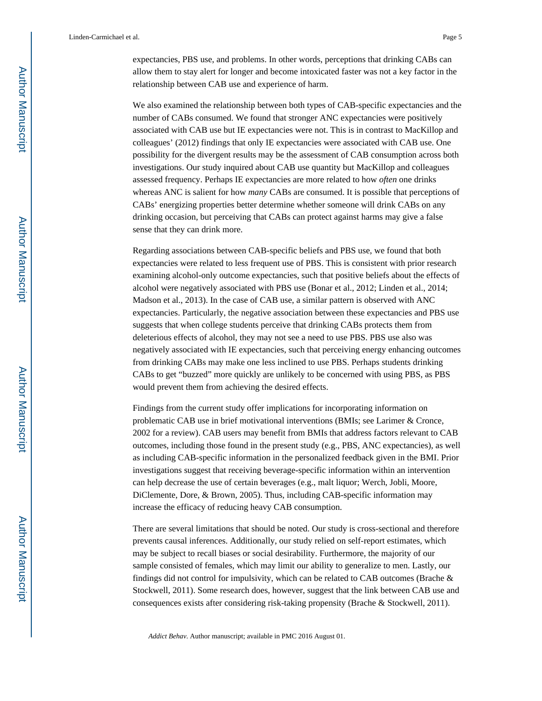We also examined the relationship between both types of CAB-specific expectancies and the number of CABs consumed. We found that stronger ANC expectancies were positively associated with CAB use but IE expectancies were not. This is in contrast to MacKillop and colleagues' (2012) findings that only IE expectancies were associated with CAB use. One possibility for the divergent results may be the assessment of CAB consumption across both investigations. Our study inquired about CAB use quantity but MacKillop and colleagues assessed frequency. Perhaps IE expectancies are more related to how *often* one drinks whereas ANC is salient for how *many* CABs are consumed. It is possible that perceptions of CABs' energizing properties better determine whether someone will drink CABs on any drinking occasion, but perceiving that CABs can protect against harms may give a false sense that they can drink more.

Regarding associations between CAB-specific beliefs and PBS use, we found that both expectancies were related to less frequent use of PBS. This is consistent with prior research examining alcohol-only outcome expectancies, such that positive beliefs about the effects of alcohol were negatively associated with PBS use (Bonar et al., 2012; Linden et al., 2014; Madson et al., 2013). In the case of CAB use, a similar pattern is observed with ANC expectancies. Particularly, the negative association between these expectancies and PBS use suggests that when college students perceive that drinking CABs protects them from deleterious effects of alcohol, they may not see a need to use PBS. PBS use also was negatively associated with IE expectancies, such that perceiving energy enhancing outcomes from drinking CABs may make one less inclined to use PBS. Perhaps students drinking CABs to get "buzzed" more quickly are unlikely to be concerned with using PBS, as PBS would prevent them from achieving the desired effects.

Findings from the current study offer implications for incorporating information on problematic CAB use in brief motivational interventions (BMIs; see Larimer & Cronce, 2002 for a review). CAB users may benefit from BMIs that address factors relevant to CAB outcomes, including those found in the present study (e.g., PBS, ANC expectancies), as well as including CAB-specific information in the personalized feedback given in the BMI. Prior investigations suggest that receiving beverage-specific information within an intervention can help decrease the use of certain beverages (e.g., malt liquor; Werch, Jobli, Moore, DiClemente, Dore, & Brown, 2005). Thus, including CAB-specific information may increase the efficacy of reducing heavy CAB consumption.

There are several limitations that should be noted. Our study is cross-sectional and therefore prevents causal inferences. Additionally, our study relied on self-report estimates, which may be subject to recall biases or social desirability. Furthermore, the majority of our sample consisted of females, which may limit our ability to generalize to men. Lastly, our findings did not control for impulsivity, which can be related to CAB outcomes (Brache & Stockwell, 2011). Some research does, however, suggest that the link between CAB use and consequences exists after considering risk-taking propensity (Brache & Stockwell, 2011).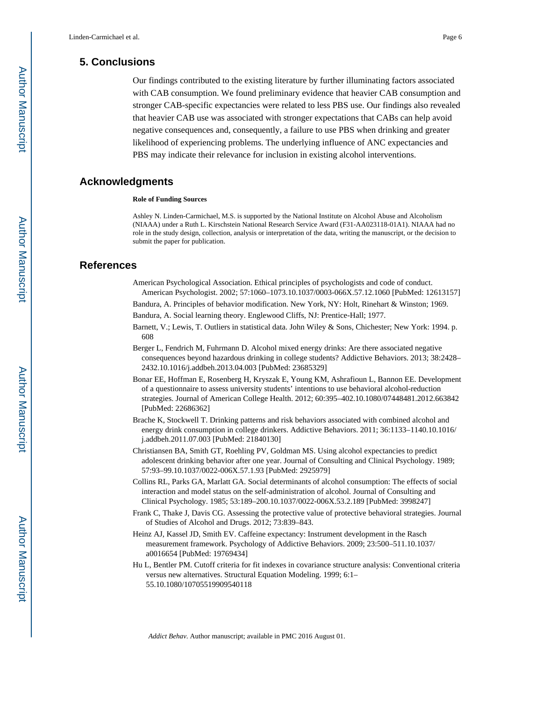## **5. Conclusions**

Our findings contributed to the existing literature by further illuminating factors associated with CAB consumption. We found preliminary evidence that heavier CAB consumption and stronger CAB-specific expectancies were related to less PBS use. Our findings also revealed that heavier CAB use was associated with stronger expectations that CABs can help avoid negative consequences and, consequently, a failure to use PBS when drinking and greater likelihood of experiencing problems. The underlying influence of ANC expectancies and PBS may indicate their relevance for inclusion in existing alcohol interventions.

#### **Acknowledgments**

#### **Role of Funding Sources**

Ashley N. Linden-Carmichael, M.S. is supported by the National Institute on Alcohol Abuse and Alcoholism (NIAAA) under a Ruth L. Kirschstein National Research Service Award (F31-AA023118-01A1). NIAAA had no role in the study design, collection, analysis or interpretation of the data, writing the manuscript, or the decision to submit the paper for publication.

#### **References**

- American Psychological Association. Ethical principles of psychologists and code of conduct. American Psychologist. 2002; 57:1060–1073.10.1037/0003-066X.57.12.1060 [PubMed: 12613157]
- Bandura, A. Principles of behavior modification. New York, NY: Holt, Rinehart & Winston; 1969.
- Bandura, A. Social learning theory. Englewood Cliffs, NJ: Prentice-Hall; 1977.
- Barnett, V.; Lewis, T. Outliers in statistical data. John Wiley & Sons, Chichester; New York: 1994. p. 608
- Berger L, Fendrich M, Fuhrmann D. Alcohol mixed energy drinks: Are there associated negative consequences beyond hazardous drinking in college students? Addictive Behaviors. 2013; 38:2428– 2432.10.1016/j.addbeh.2013.04.003 [PubMed: 23685329]
- Bonar EE, Hoffman E, Rosenberg H, Kryszak E, Young KM, Ashrafioun L, Bannon EE. Development of a questionnaire to assess university students' intentions to use behavioral alcohol-reduction strategies. Journal of American College Health. 2012; 60:395–402.10.1080/07448481.2012.663842 [PubMed: 22686362]
- Brache K, Stockwell T. Drinking patterns and risk behaviors associated with combined alcohol and energy drink consumption in college drinkers. Addictive Behaviors. 2011; 36:1133–1140.10.1016/ j.addbeh.2011.07.003 [PubMed: 21840130]
- Christiansen BA, Smith GT, Roehling PV, Goldman MS. Using alcohol expectancies to predict adolescent drinking behavior after one year. Journal of Consulting and Clinical Psychology. 1989; 57:93–99.10.1037/0022-006X.57.1.93 [PubMed: 2925979]
- Collins RL, Parks GA, Marlatt GA. Social determinants of alcohol consumption: The effects of social interaction and model status on the self-administration of alcohol. Journal of Consulting and Clinical Psychology. 1985; 53:189–200.10.1037/0022-006X.53.2.189 [PubMed: 3998247]
- Frank C, Thake J, Davis CG. Assessing the protective value of protective behavioral strategies. Journal of Studies of Alcohol and Drugs. 2012; 73:839–843.
- Heinz AJ, Kassel JD, Smith EV. Caffeine expectancy: Instrument development in the Rasch measurement framework. Psychology of Addictive Behaviors. 2009; 23:500–511.10.1037/ a0016654 [PubMed: 19769434]
- Hu L, Bentler PM. Cutoff criteria for fit indexes in covariance structure analysis: Conventional criteria versus new alternatives. Structural Equation Modeling. 1999; 6:1– 55.10.1080/10705519909540118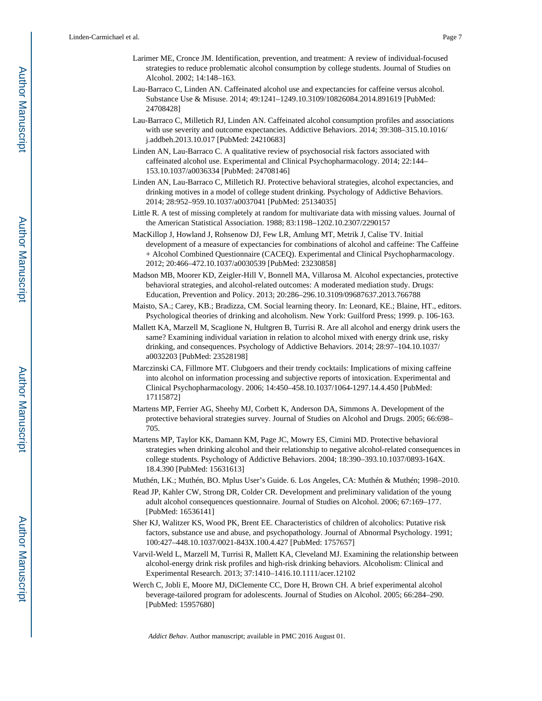- Larimer ME, Cronce JM. Identification, prevention, and treatment: A review of individual-focused strategies to reduce problematic alcohol consumption by college students. Journal of Studies on Alcohol. 2002; 14:148–163.
- Lau-Barraco C, Linden AN. Caffeinated alcohol use and expectancies for caffeine versus alcohol. Substance Use & Misuse. 2014; 49:1241–1249.10.3109/10826084.2014.891619 [PubMed: 24708428]
- Lau-Barraco C, Milletich RJ, Linden AN. Caffeinated alcohol consumption profiles and associations with use severity and outcome expectancies. Addictive Behaviors. 2014; 39:308–315.10.1016/ j.addbeh.2013.10.017 [PubMed: 24210683]
- Linden AN, Lau-Barraco C. A qualitative review of psychosocial risk factors associated with caffeinated alcohol use. Experimental and Clinical Psychopharmacology. 2014; 22:144– 153.10.1037/a0036334 [PubMed: 24708146]
- Linden AN, Lau-Barraco C, Milletich RJ. Protective behavioral strategies, alcohol expectancies, and drinking motives in a model of college student drinking. Psychology of Addictive Behaviors. 2014; 28:952–959.10.1037/a0037041 [PubMed: 25134035]
- Little R. A test of missing completely at random for multivariate data with missing values. Journal of the American Statistical Association. 1988; 83:1198–1202.10.2307/2290157
- MacKillop J, Howland J, Rohsenow DJ, Few LR, Amlung MT, Metrik J, Calise TV. Initial development of a measure of expectancies for combinations of alcohol and caffeine: The Caffeine + Alcohol Combined Questionnaire (CACEQ). Experimental and Clinical Psychopharmacology. 2012; 20:466–472.10.1037/a0030539 [PubMed: 23230858]
- Madson MB, Moorer KD, Zeigler-Hill V, Bonnell MA, Villarosa M. Alcohol expectancies, protective behavioral strategies, and alcohol-related outcomes: A moderated mediation study. Drugs: Education, Prevention and Policy. 2013; 20:286–296.10.3109/09687637.2013.766788
- Maisto, SA.; Carey, KB.; Bradizza, CM. Social learning theory. In: Leonard, KE.; Blaine, HT., editors. Psychological theories of drinking and alcoholism. New York: Guilford Press; 1999. p. 106-163.
- Mallett KA, Marzell M, Scaglione N, Hultgren B, Turrisi R. Are all alcohol and energy drink users the same? Examining individual variation in relation to alcohol mixed with energy drink use, risky drinking, and consequences. Psychology of Addictive Behaviors. 2014; 28:97–104.10.1037/ a0032203 [PubMed: 23528198]
- Marczinski CA, Fillmore MT. Clubgoers and their trendy cocktails: Implications of mixing caffeine into alcohol on information processing and subjective reports of intoxication. Experimental and Clinical Psychopharmacology. 2006; 14:450–458.10.1037/1064-1297.14.4.450 [PubMed: 17115872]
- Martens MP, Ferrier AG, Sheehy MJ, Corbett K, Anderson DA, Simmons A. Development of the protective behavioral strategies survey. Journal of Studies on Alcohol and Drugs. 2005; 66:698– 705.
- Martens MP, Taylor KK, Damann KM, Page JC, Mowry ES, Cimini MD. Protective behavioral strategies when drinking alcohol and their relationship to negative alcohol-related consequences in college students. Psychology of Addictive Behaviors. 2004; 18:390–393.10.1037/0893-164X. 18.4.390 [PubMed: 15631613]
- Muthén, LK.; Muthén, BO. Mplus User's Guide. 6. Los Angeles, CA: Muthén & Muthén; 1998–2010.
- Read JP, Kahler CW, Strong DR, Colder CR. Development and preliminary validation of the young adult alcohol consequences questionnaire. Journal of Studies on Alcohol. 2006; 67:169–177. [PubMed: 16536141]
- Sher KJ, Walitzer KS, Wood PK, Brent EE. Characteristics of children of alcoholics: Putative risk factors, substance use and abuse, and psychopathology. Journal of Abnormal Psychology. 1991; 100:427–448.10.1037/0021-843X.100.4.427 [PubMed: 1757657]
- Varvil-Weld L, Marzell M, Turrisi R, Mallett KA, Cleveland MJ. Examining the relationship between alcohol-energy drink risk profiles and high-risk drinking behaviors. Alcoholism: Clinical and Experimental Research. 2013; 37:1410–1416.10.1111/acer.12102
- Werch C, Jobli E, Moore MJ, DiClemente CC, Dore H, Brown CH. A brief experimental alcohol beverage-tailored program for adolescents. Journal of Studies on Alcohol. 2005; 66:284–290. [PubMed: 15957680]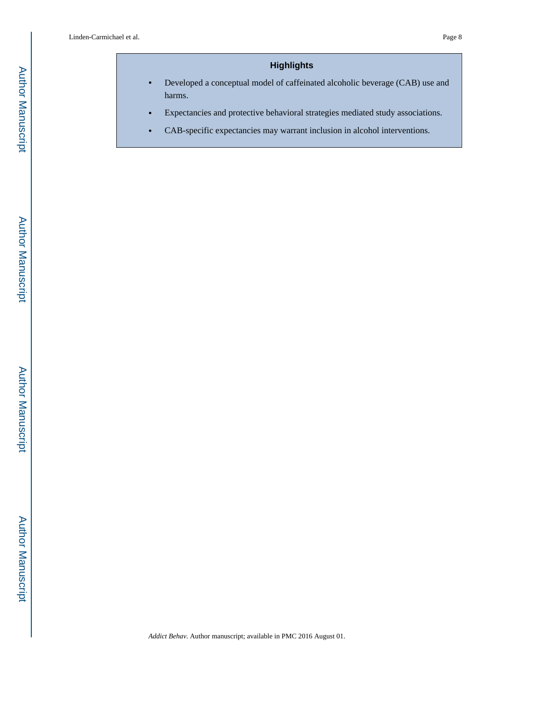# **Highlights**

- **•** Developed a conceptual model of caffeinated alcoholic beverage (CAB) use and harms.
- **•** Expectancies and protective behavioral strategies mediated study associations.
- **•** CAB-specific expectancies may warrant inclusion in alcohol interventions.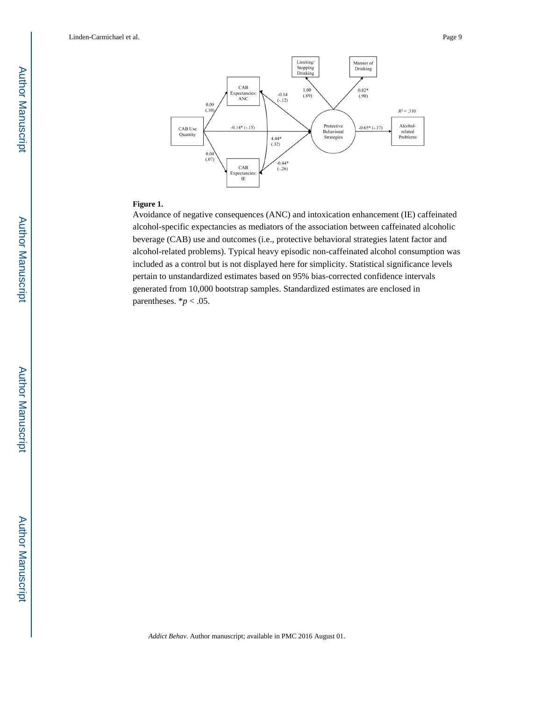Linden-Carmichael et al. Page 9



#### **Figure 1.**

Avoidance of negative consequences (ANC) and intoxication enhancement (IE) caffeinated alcohol-specific expectancies as mediators of the association between caffeinated alcoholic beverage (CAB) use and outcomes (i.e., protective behavioral strategies latent factor and alcohol-related problems). Typical heavy episodic non-caffeinated alcohol consumption was included as a control but is not displayed here for simplicity. Statistical significance levels pertain to unstandardized estimates based on 95% bias-corrected confidence intervals generated from 10,000 bootstrap samples. Standardized estimates are enclosed in parentheses.  $**p* < .05$ .